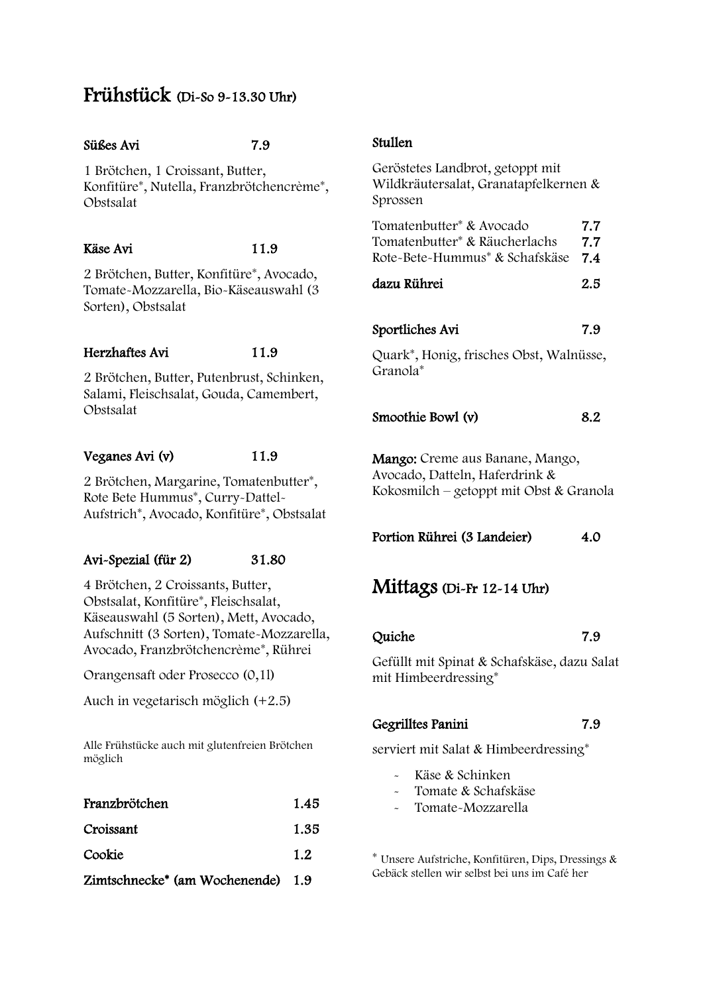# Frühstück (Di-So 9-13.30 Uhr)

# Süßes Avi 7.9 1 Brötchen, 1 Croissant, Butter, Konfitüre\*, Nutella, Franzbrötchencrème\*, Obstsalat Käse Avi 11.9 2 Brötchen, Butter, Konfitüre\*, Avocado, Tomate-Mozzarella, Bio-Käseauswahl (3 Sorten), Obstsalat Herzhaftes Avi 11.9 2 Brötchen, Butter, Putenbrust, Schinken, Salami, Fleischsalat, Gouda, Camembert, Obstsalat Veganes Avi (v) 11.9 Geröstetes Landbrot, getoppt mit Sprossen Granola\* Avocado, Datteln, Haferdrink &

2 Brötchen, Margarine, Tomatenbutter\*, Rote Bete Hummus\*, Curry-Dattel-Aufstrich\*, Avocado, Konfitüre\*, Obstsalat

#### Avi-Spezial (für 2) 31.80

4 Brötchen, 2 Croissants, Butter, Obstsalat, Konfitüre\*, Fleischsalat, Käseauswahl (5 Sorten), Mett, Avocado, Aufschnitt (3 Sorten), Tomate-Mozzarella, Avocado, Franzbrötchencrème\*, Rührei

Orangensaft oder Prosecco (0,1l)

Auch in vegetarisch möglich (+2.5)

Alle Frühstücke auch mit glutenfreien Brötchen möglich

| Franzbrötchen                                 | 1.45 |
|-----------------------------------------------|------|
| Croissant                                     | 1.35 |
| Cookie                                        | 1.2  |
| Zimtschnecke <sup>*</sup> (am Wochenende) 1.9 |      |

#### Stullen

Wildkräutersalat, Granatapfelkernen &

| Tomatenbutter* & Avocado                       | 7.7 |
|------------------------------------------------|-----|
| Tomatenbutter* & Räucherlachs                  | 77  |
| Rote-Bete-Hummus <sup>*</sup> & Schafskäse 7.4 |     |

dazu Rührei 2.5

### Sportliches Avi 7.9

Quark\*, Honig, frisches Obst, Walnüsse,

### Smoothie Bowl (v) 8.2

Mango: Creme aus Banane, Mango, Kokosmilch – getoppt mit Obst & Granola

Portion Rührei (3 Landeier) 4.0

# Mittags (Di-Fr 12-14 Uhr)

#### Quiche 7.9

Gefüllt mit Spinat & Schafskäse, dazu Salat mit Himbeerdressing\*

### Gegrilltes Panini 7.9

serviert mit Salat & Himbeerdressing\*

- Käse & Schinken
- Tomate & Schafskäse
- Tomate-Mozzarella

\* Unsere Aufstriche, Konfitüren, Dips, Dressings & Gebäck stellen wir selbst bei uns im Café her